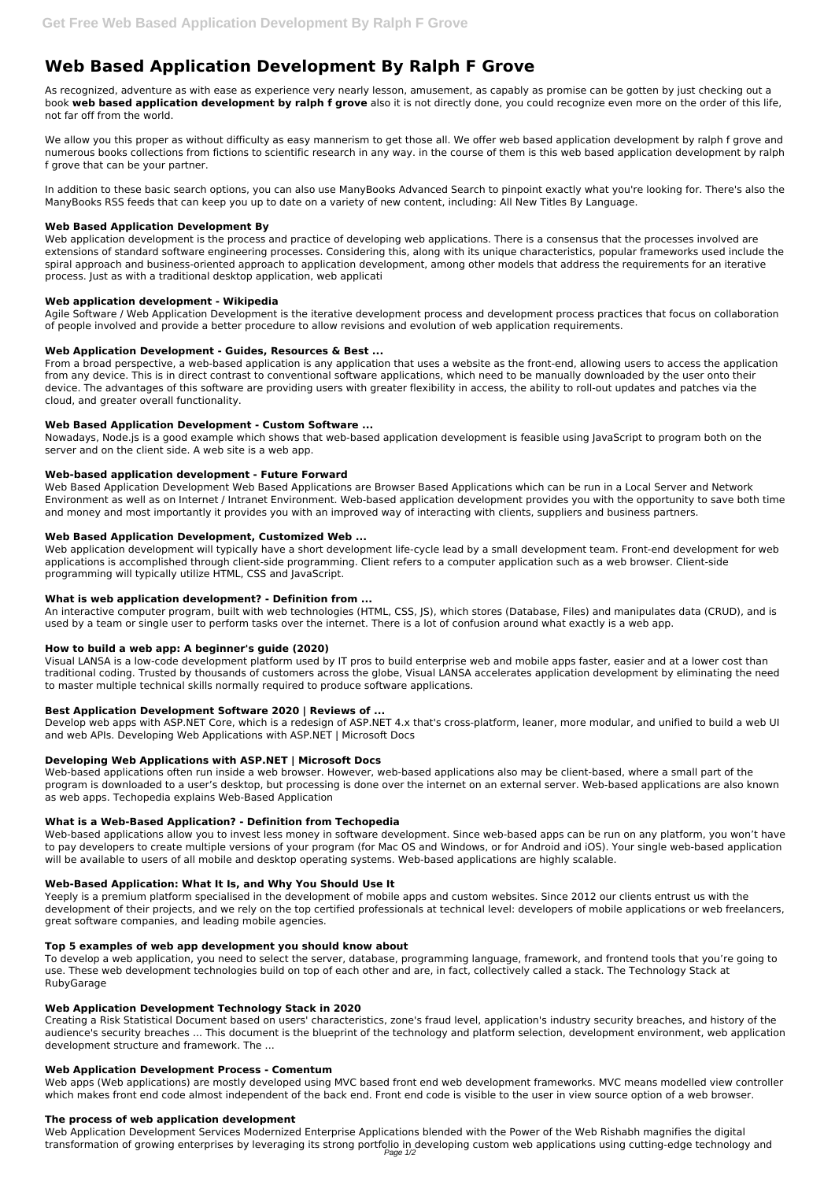# **Web Based Application Development By Ralph F Grove**

As recognized, adventure as with ease as experience very nearly lesson, amusement, as capably as promise can be gotten by just checking out a book **web based application development by ralph f grove** also it is not directly done, you could recognize even more on the order of this life, not far off from the world.

We allow you this proper as without difficulty as easy mannerism to get those all. We offer web based application development by ralph f grove and numerous books collections from fictions to scientific research in any way. in the course of them is this web based application development by ralph f grove that can be your partner.

In addition to these basic search options, you can also use ManyBooks Advanced Search to pinpoint exactly what you're looking for. There's also the ManyBooks RSS feeds that can keep you up to date on a variety of new content, including: All New Titles By Language.

## **Web Based Application Development By**

Web application development is the process and practice of developing web applications. There is a consensus that the processes involved are extensions of standard software engineering processes. Considering this, along with its unique characteristics, popular frameworks used include the spiral approach and business-oriented approach to application development, among other models that address the requirements for an iterative process. Just as with a traditional desktop application, web applicati

## **Web application development - Wikipedia**

Agile Software / Web Application Development is the iterative development process and development process practices that focus on collaboration of people involved and provide a better procedure to allow revisions and evolution of web application requirements.

## **Web Application Development - Guides, Resources & Best ...**

From a broad perspective, a web-based application is any application that uses a website as the front-end, allowing users to access the application from any device. This is in direct contrast to conventional software applications, which need to be manually downloaded by the user onto their device. The advantages of this software are providing users with greater flexibility in access, the ability to roll-out updates and patches via the cloud, and greater overall functionality.

#### **Web Based Application Development - Custom Software ...**

Nowadays, Node.js is a good example which shows that web-based application development is feasible using JavaScript to program both on the server and on the client side. A web site is a web app.

#### **Web-based application development - Future Forward**

Web-based applications allow you to invest less money in software development. Since web-based apps can be run on any platform, you won't have to pay developers to create multiple versions of your program (for Mac OS and Windows, or for Android and iOS). Your single web-based application will be available to users of all mobile and desktop operating systems. Web-based applications are highly scalable.

Web Based Application Development Web Based Applications are Browser Based Applications which can be run in a Local Server and Network Environment as well as on Internet / Intranet Environment. Web-based application development provides you with the opportunity to save both time and money and most importantly it provides you with an improved way of interacting with clients, suppliers and business partners.

#### **Web Based Application Development, Customized Web ...**

Web application development will typically have a short development life-cycle lead by a small development team. Front-end development for web applications is accomplished through client-side programming. Client refers to a computer application such as a web browser. Client-side programming will typically utilize HTML, CSS and JavaScript.

#### **What is web application development? - Definition from ...**

An interactive computer program, built with web technologies (HTML, CSS, JS), which stores (Database, Files) and manipulates data (CRUD), and is used by a team or single user to perform tasks over the internet. There is a lot of confusion around what exactly is a web app.

# **How to build a web app: A beginner's guide (2020)**

Visual LANSA is a low-code development platform used by IT pros to build enterprise web and mobile apps faster, easier and at a lower cost than traditional coding. Trusted by thousands of customers across the globe, Visual LANSA accelerates application development by eliminating the need to master multiple technical skills normally required to produce software applications.

# **Best Application Development Software 2020 | Reviews of ...**

Develop web apps with ASP.NET Core, which is a redesign of ASP.NET 4.x that's cross-platform, leaner, more modular, and unified to build a web UI and web APIs. Developing Web Applications with ASP.NET | Microsoft Docs

#### **Developing Web Applications with ASP.NET | Microsoft Docs**

Web-based applications often run inside a web browser. However, web-based applications also may be client-based, where a small part of the program is downloaded to a user's desktop, but processing is done over the internet on an external server. Web-based applications are also known as web apps. Techopedia explains Web-Based Application

#### **What is a Web-Based Application? - Definition from Techopedia**

#### **Web-Based Application: What It Is, and Why You Should Use It**

Yeeply is a premium platform specialised in the development of mobile apps and custom websites. Since 2012 our clients entrust us with the development of their projects, and we rely on the top certified professionals at technical level: developers of mobile applications or web freelancers, great software companies, and leading mobile agencies.

#### **Top 5 examples of web app development you should know about**

To develop a web application, you need to select the server, database, programming language, framework, and frontend tools that you're going to use. These web development technologies build on top of each other and are, in fact, collectively called a stack. The Technology Stack at RubyGarage

#### **Web Application Development Technology Stack in 2020**

Creating a Risk Statistical Document based on users' characteristics, zone's fraud level, application's industry security breaches, and history of the audience's security breaches ... This document is the blueprint of the technology and platform selection, development environment, web application development structure and framework. The ...

#### **Web Application Development Process - Comentum**

Web apps (Web applications) are mostly developed using MVC based front end web development frameworks. MVC means modelled view controller which makes front end code almost independent of the back end. Front end code is visible to the user in view source option of a web browser.

#### **The process of web application development**

Web Application Development Services Modernized Enterprise Applications blended with the Power of the Web Rishabh magnifies the digital transformation of growing enterprises by leveraging its strong portfolio in developing custom web applications using cutting-edge technology and Page 1/2